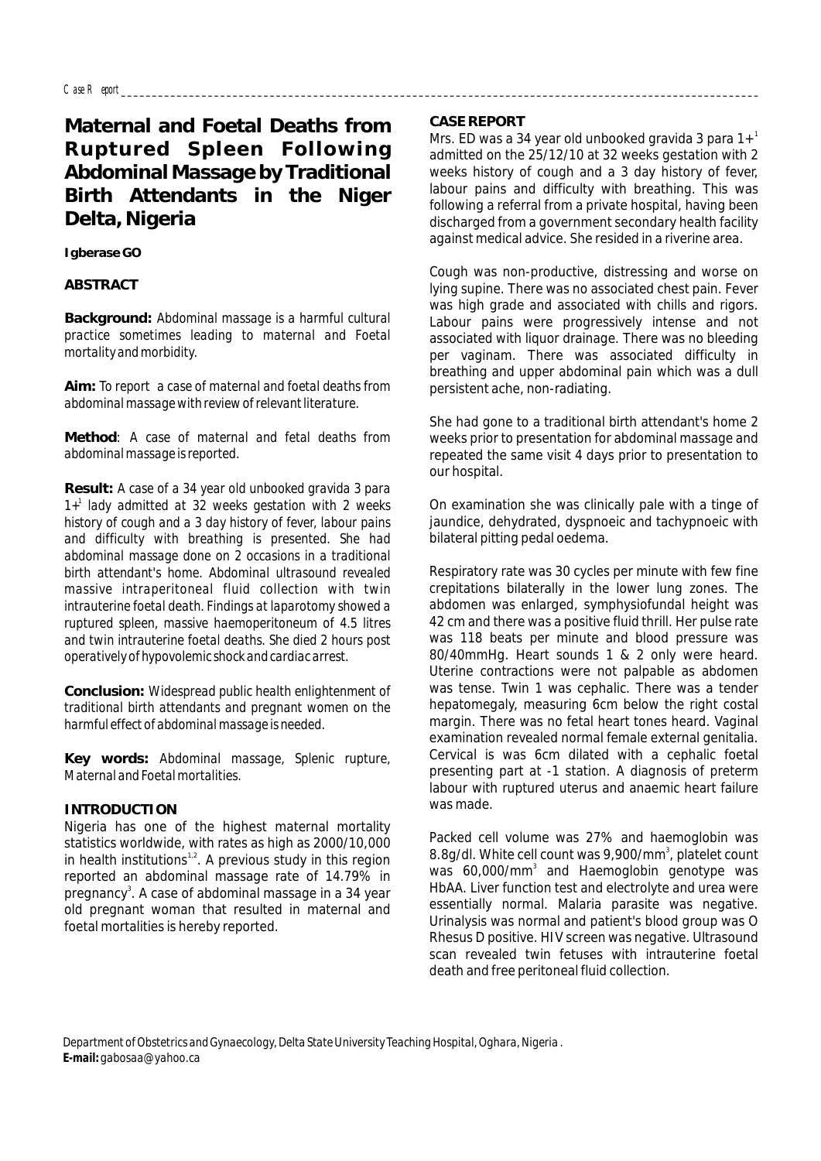# **Maternal and Foetal Deaths from Ruptured Spleen Following Abdominal Massage by Traditional Birth Attendants in the Niger Delta, Nigeria**

**Igberase GO**

## **ABSTRACT**

**Background:** *Abdominal massage is a harmful cultural practice sometimes leading to maternal and Foetal mortality and morbidity.*

**Aim:** *To report a case of maternal and foetal deaths from abdominal massage with review of relevant literature.* 

**Method**: *A case of maternal and fetal deaths from abdominal massage is reported.* 

**Result:** *A case of a 34 year old unbooked gravida 3 para 1 1+ lady admitted at 32 weeks gestation with 2 weeks history of cough and a 3 day history of fever, labour pains and difficulty with breathing is presented. She had abdominal massage done on 2 occasions in a traditional birth attendant's home. Abdominal ultrasound revealed massive intraperitoneal fluid collection with twin intrauterine foetal death. Findings at laparotomy showed a ruptured spleen, massive haemoperitoneum of 4.5 litres and twin intrauterine foetal deaths. She died 2 hours post operatively of hypovolemic shock and cardiac arrest.*

**Conclusion:** *Widespread public health enlightenment of traditional birth attendants and pregnant women on the harmful effect of abdominal massage is needed.*

**Key words:** *Abdominal massage, Splenic rupture, Maternal and Foetal mortalities.*

# **INTRODUCTION**

Nigeria has one of the highest maternal mortality statistics worldwide, with rates as high as 2000/10,000 in health institutions<sup>1,2</sup>. A previous study in this region reported an abdominal massage rate of 14.79% in pregnancy<sup>3</sup>. A case of abdominal massage in a 34 year old pregnant woman that resulted in maternal and foetal mortalities is hereby reported.

## **CASE REPORT**

Mrs. ED was a 34 year old unbooked gravida 3 para  $1+$ <sup>1</sup> admitted on the 25/12/10 at 32 weeks gestation with 2 weeks history of cough and a 3 day history of fever, labour pains and difficulty with breathing. This was following a referral from a private hospital, having been discharged from a government secondary health facility against medical advice. She resided in a riverine area.

Cough was non-productive, distressing and worse on lying supine. There was no associated chest pain. Fever was high grade and associated with chills and rigors. Labour pains were progressively intense and not associated with liquor drainage. There was no bleeding per vaginam. There was associated difficulty in breathing and upper abdominal pain which was a dull persistent ache, non-radiating.

She had gone to a traditional birth attendant's home 2 weeks prior to presentation for abdominal massage and repeated the same visit 4 days prior to presentation to our hospital.

On examination she was clinically pale with a tinge of jaundice, dehydrated, dyspnoeic and tachypnoeic with bilateral pitting pedal oedema.

Respiratory rate was 30 cycles per minute with few fine crepitations bilaterally in the lower lung zones. The abdomen was enlarged, symphysiofundal height was 42 cm and there was a positive fluid thrill. Her pulse rate was 118 beats per minute and blood pressure was 80/40mmHg. Heart sounds 1 & 2 only were heard. Uterine contractions were not palpable as abdomen was tense. Twin 1 was cephalic. There was a tender hepatomegaly, measuring 6cm below the right costal margin. There was no fetal heart tones heard. Vaginal examination revealed normal female external genitalia. Cervical is was 6cm dilated with a cephalic foetal presenting part at -1 station. A diagnosis of preterm labour with ruptured uterus and anaemic heart failure was made.

Packed cell volume was 27% and haemoglobin was 8.8g/dl. White cell count was 9,900/mm<sup>3</sup>, platelet count was  $60.000/\text{mm}^3$  and Haemoglobin genotype was HbAA. Liver function test and electrolyte and urea were essentially normal. Malaria parasite was negative. Urinalysis was normal and patient's blood group was O Rhesus D positive. HIV screen was negative. Ultrasound scan revealed twin fetuses with intrauterine foetal death and free peritoneal fluid collection.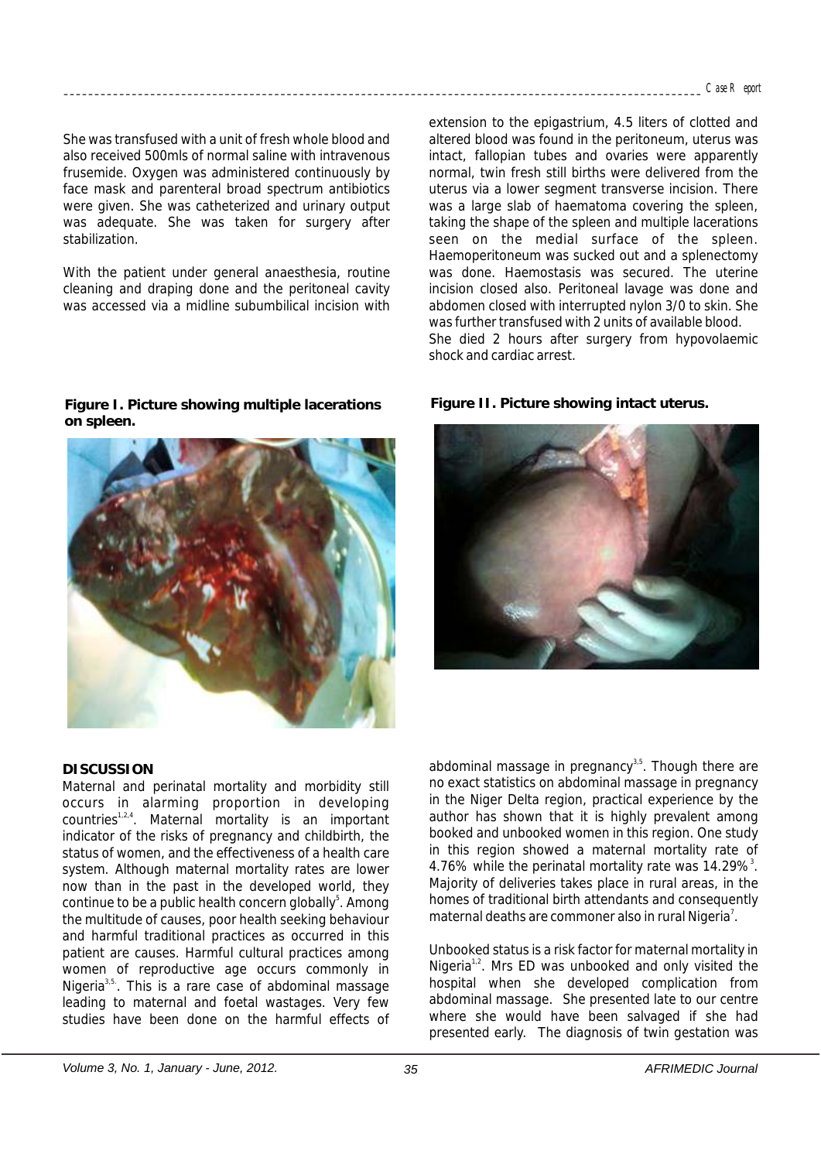She was transfused with a unit of fresh whole blood and also received 500mls of normal saline with intravenous frusemide. Oxygen was administered continuously by face mask and parenteral broad spectrum antibiotics were given. She was catheterized and urinary output was adequate. She was taken for surgery after stabilization.

With the patient under general anaesthesia, routine cleaning and draping done and the peritoneal cavity was accessed via a midline subumbilical incision with normal, twin fresh still births were delivered from the uterus via a lower segment transverse incision. There was a large slab of haematoma covering the spleen. taking the shape of the spleen and multiple lacerations seen on the medial surface of the spleen. Haemoperitoneum was sucked out and a splenectomy was done. Haemostasis was secured. The uterine incision closed also. Peritoneal lavage was done and abdomen closed with interrupted nylon 3/0 to skin. She was further transfused with 2 units of available blood. She died 2 hours after surgery from hypovolaemic shock and cardiac arrest.

extension to the epigastrium, 4.5 liters of clotted and altered blood was found in the peritoneum, uterus was intact, fallopian tubes and ovaries were apparently

**Figure I. Picture showing multiple lacerations on spleen.**



#### **DISCUSSION**

Maternal and perinatal mortality and morbidity still occurs in alarming proportion in developing  $countries^{1,2,4}$ . Maternal mortality is an important indicator of the risks of pregnancy and childbirth, the status of women, and the effectiveness of a health care system. Although maternal mortality rates are lower now than in the past in the developed world, they continue to be a public health concern globally<sup>5</sup>. Among the multitude of causes, poor health seeking behaviour and harmful traditional practices as occurred in this patient are causes. Harmful cultural practices among women of reproductive age occurs commonly in Nigeria<sup>3,5</sup>. This is a rare case of abdominal massage leading to maternal and foetal wastages. Very few studies have been done on the harmful effects of

**Figure II. Picture showing intact uterus.**



abdominal massage in pregnancy $35$ . Though there are no exact statistics on abdominal massage in pregnancy in the Niger Delta region, practical experience by the author has shown that it is highly prevalent among booked and unbooked women in this region. One study in this region showed a maternal mortality rate of 4.76% while the perinatal mortality rate was  $14.29\%$ <sup>3</sup>. Majority of deliveries takes place in rural areas, in the homes of traditional birth attendants and consequently maternal deaths are commoner also in rural Nigeria<sup>7</sup>.

Unbooked status is a risk factor for maternal mortality in Nigeria<sup>1,2</sup>. Mrs ED was unbooked and only visited the hospital when she developed complication from abdominal massage. She presented late to our centre where she would have been salvaged if she had presented early. The diagnosis of twin gestation was